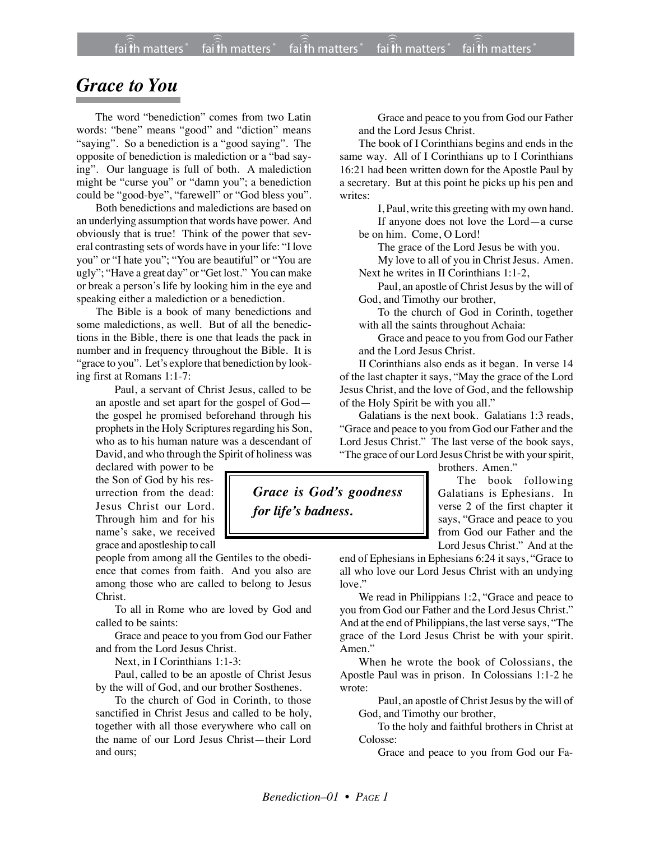## *Grace to You*

The word "benediction" comes from two Latin words: "bene" means "good" and "diction" means "saying". So a benediction is a "good saying". The opposite of benediction is malediction or a "bad saying". Our language is full of both. A malediction might be "curse you" or "damn you"; a benediction could be "good-bye", "farewell" or "God bless you".

Both benedictions and maledictions are based on an underlying assumption that words have power. And obviously that is true! Think of the power that several contrasting sets of words have in your life: "I love you" or "I hate you"; "You are beautiful" or "You are ugly"; "Have a great day" or "Get lost." You can make or break a person's life by looking him in the eye and speaking either a malediction or a benediction.

The Bible is a book of many benedictions and some maledictions, as well. But of all the benedictions in the Bible, there is one that leads the pack in number and in frequency throughout the Bible. It is "grace to you". Let's explore that benediction by looking first at Romans 1:1-7:

Paul, a servant of Christ Jesus, called to be an apostle and set apart for the gospel of God the gospel he promised beforehand through his prophets in the Holy Scriptures regarding his Son, who as to his human nature was a descendant of David, and who through the Spirit of holiness was

declared with power to be the Son of God by his resurrection from the dead: Jesus Christ our Lord. Through him and for his name's sake, we received grace and apostleship to call

people from among all the Gentiles to the obedience that comes from faith. And you also are among those who are called to belong to Jesus Christ.

To all in Rome who are loved by God and called to be saints:

Grace and peace to you from God our Father and from the Lord Jesus Christ.

Next, in I Corinthians 1:1-3:

Paul, called to be an apostle of Christ Jesus by the will of God, and our brother Sosthenes.

To the church of God in Corinth, to those sanctified in Christ Jesus and called to be holy, together with all those everywhere who call on the name of our Lord Jesus Christ—their Lord and ours;

Grace and peace to you from God our Father and the Lord Jesus Christ.

The book of I Corinthians begins and ends in the same way. All of I Corinthians up to I Corinthians 16:21 had been written down for the Apostle Paul by a secretary. But at this point he picks up his pen and writes:

I, Paul, write this greeting with my own hand. If anyone does not love the Lord—a curse be on him. Come, O Lord!

The grace of the Lord Jesus be with you.

My love to all of you in Christ Jesus. Amen. Next he writes in II Corinthians 1:1-2,

Paul, an apostle of Christ Jesus by the will of God, and Timothy our brother,

To the church of God in Corinth, together with all the saints throughout Achaia:

Grace and peace to you from God our Father and the Lord Jesus Christ.

II Corinthians also ends as it began. In verse 14 of the last chapter it says, "May the grace of the Lord Jesus Christ, and the love of God, and the fellowship of the Holy Spirit be with you all."

Galatians is the next book. Galatians 1:3 reads, "Grace and peace to you from God our Father and the Lord Jesus Christ." The last verse of the book says, "The grace of our Lord Jesus Christ be with your spirit,

brothers. Amen."

The book following Galatians is Ephesians. In verse 2 of the first chapter it says, "Grace and peace to you from God our Father and the Lord Jesus Christ." And at the

end of Ephesians in Ephesians 6:24 it says, "Grace to all who love our Lord Jesus Christ with an undying

We read in Philippians 1:2, "Grace and peace to you from God our Father and the Lord Jesus Christ." And at the end of Philippians, the last verse says, "The grace of the Lord Jesus Christ be with your spirit. Amen<sup>"</sup>

When he wrote the book of Colossians, the Apostle Paul was in prison. In Colossians 1:1-2 he wrote:

Paul, an apostle of Christ Jesus by the will of God, and Timothy our brother,

To the holy and faithful brothers in Christ at Colosse:

Grace and peace to you from God our Fa-

love."

*Grace is God's goodness*

*for life's badness.*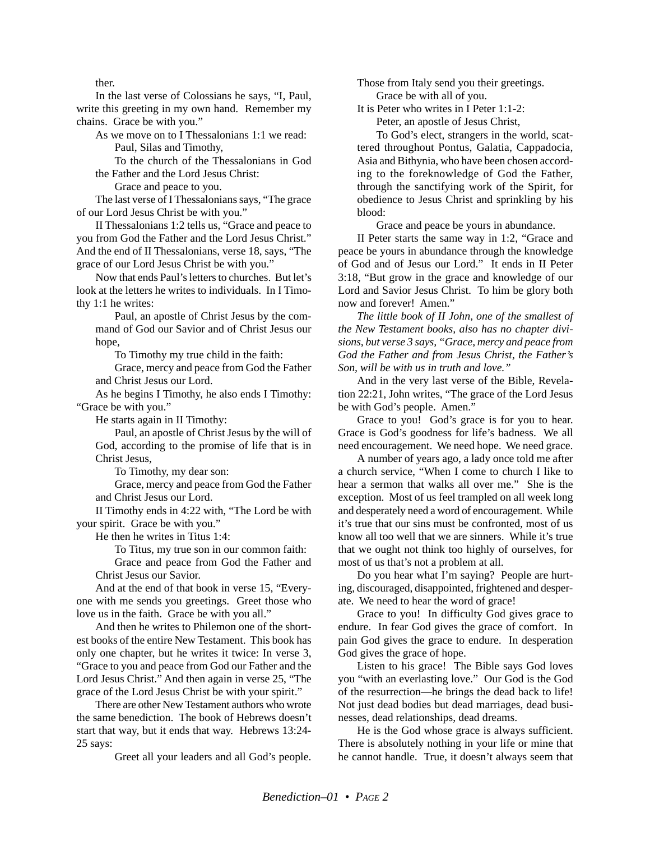ther.

In the last verse of Colossians he says, "I, Paul, write this greeting in my own hand. Remember my chains. Grace be with you."

As we move on to I Thessalonians 1:1 we read: Paul, Silas and Timothy,

To the church of the Thessalonians in God the Father and the Lord Jesus Christ:

Grace and peace to you.

The last verse of I Thessalonians says, "The grace of our Lord Jesus Christ be with you."

II Thessalonians 1:2 tells us, "Grace and peace to you from God the Father and the Lord Jesus Christ." And the end of II Thessalonians, verse 18, says, "The grace of our Lord Jesus Christ be with you."

Now that ends Paul's letters to churches. But let's look at the letters he writes to individuals. In I Timothy 1:1 he writes:

Paul, an apostle of Christ Jesus by the command of God our Savior and of Christ Jesus our hope,

To Timothy my true child in the faith:

Grace, mercy and peace from God the Father and Christ Jesus our Lord.

As he begins I Timothy, he also ends I Timothy: "Grace be with you."

He starts again in II Timothy:

Paul, an apostle of Christ Jesus by the will of God, according to the promise of life that is in Christ Jesus,

To Timothy, my dear son:

Grace, mercy and peace from God the Father and Christ Jesus our Lord.

II Timothy ends in 4:22 with, "The Lord be with your spirit. Grace be with you."

He then he writes in Titus 1:4:

To Titus, my true son in our common faith:

Grace and peace from God the Father and Christ Jesus our Savior.

And at the end of that book in verse 15, "Everyone with me sends you greetings. Greet those who love us in the faith. Grace be with you all."

And then he writes to Philemon one of the shortest books of the entire New Testament. This book has only one chapter, but he writes it twice: In verse 3, "Grace to you and peace from God our Father and the Lord Jesus Christ." And then again in verse 25, "The grace of the Lord Jesus Christ be with your spirit."

There are other New Testament authors who wrote the same benediction. The book of Hebrews doesn't start that way, but it ends that way. Hebrews 13:24- 25 says:

Greet all your leaders and all God's people.

Those from Italy send you their greetings. Grace be with all of you.

It is Peter who writes in I Peter 1:1-2:

Peter, an apostle of Jesus Christ,

To God's elect, strangers in the world, scattered throughout Pontus, Galatia, Cappadocia, Asia and Bithynia, who have been chosen according to the foreknowledge of God the Father, through the sanctifying work of the Spirit, for obedience to Jesus Christ and sprinkling by his blood:

Grace and peace be yours in abundance.

II Peter starts the same way in 1:2, "Grace and peace be yours in abundance through the knowledge of God and of Jesus our Lord." It ends in II Peter 3:18, "But grow in the grace and knowledge of our Lord and Savior Jesus Christ. To him be glory both now and forever! Amen."

*The little book of II John, one of the smallest of the New Testament books, also has no chapter divisions, but verse 3 says, "Grace, mercy and peace from God the Father and from Jesus Christ, the Father's Son, will be with us in truth and love."*

And in the very last verse of the Bible, Revelation 22:21, John writes, "The grace of the Lord Jesus be with God's people. Amen."

Grace to you! God's grace is for you to hear. Grace is God's goodness for life's badness. We all need encouragement. We need hope. We need grace.

A number of years ago, a lady once told me after a church service, "When I come to church I like to hear a sermon that walks all over me." She is the exception. Most of us feel trampled on all week long and desperately need a word of encouragement. While it's true that our sins must be confronted, most of us know all too well that we are sinners. While it's true that we ought not think too highly of ourselves, for most of us that's not a problem at all.

Do you hear what I'm saying? People are hurting, discouraged, disappointed, frightened and desperate. We need to hear the word of grace!

Grace to you! In difficulty God gives grace to endure. In fear God gives the grace of comfort. In pain God gives the grace to endure. In desperation God gives the grace of hope.

Listen to his grace! The Bible says God loves you "with an everlasting love." Our God is the God of the resurrection—he brings the dead back to life! Not just dead bodies but dead marriages, dead businesses, dead relationships, dead dreams.

He is the God whose grace is always sufficient. There is absolutely nothing in your life or mine that he cannot handle. True, it doesn't always seem that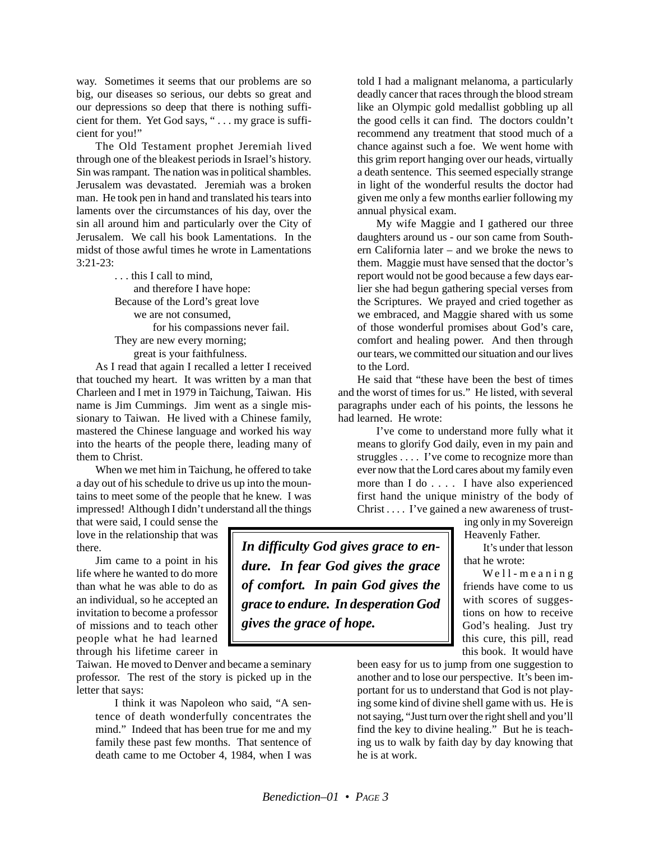way. Sometimes it seems that our problems are so big, our diseases so serious, our debts so great and our depressions so deep that there is nothing sufficient for them. Yet God says, " . . . my grace is sufficient for you!"

The Old Testament prophet Jeremiah lived through one of the bleakest periods in Israel's history. Sin was rampant. The nation was in political shambles. Jerusalem was devastated. Jeremiah was a broken man. He took pen in hand and translated his tears into laments over the circumstances of his day, over the sin all around him and particularly over the City of Jerusalem. We call his book Lamentations. In the midst of those awful times he wrote in Lamentations 3:21-23:

> . . . this I call to mind, and therefore I have hope: Because of the Lord's great love we are not consumed, for his compassions never fail. They are new every morning; great is your faithfulness.

As I read that again I recalled a letter I received that touched my heart. It was written by a man that Charleen and I met in 1979 in Taichung, Taiwan. His name is Jim Cummings. Jim went as a single missionary to Taiwan. He lived with a Chinese family, mastered the Chinese language and worked his way into the hearts of the people there, leading many of them to Christ.

When we met him in Taichung, he offered to take a day out of his schedule to drive us up into the mountains to meet some of the people that he knew. I was impressed! Although I didn't understand all the things

that were said, I could sense the love in the relationship that was there.

Jim came to a point in his life where he wanted to do more than what he was able to do as an individual, so he accepted an invitation to become a professor of missions and to teach other people what he had learned through his lifetime career in

Taiwan. He moved to Denver and became a seminary professor. The rest of the story is picked up in the letter that says:

I think it was Napoleon who said, "A sentence of death wonderfully concentrates the mind." Indeed that has been true for me and my family these past few months. That sentence of death came to me October 4, 1984, when I was

told I had a malignant melanoma, a particularly deadly cancer that races through the blood stream like an Olympic gold medallist gobbling up all the good cells it can find. The doctors couldn't recommend any treatment that stood much of a chance against such a foe. We went home with this grim report hanging over our heads, virtually a death sentence. This seemed especially strange in light of the wonderful results the doctor had given me only a few months earlier following my annual physical exam.

My wife Maggie and I gathered our three daughters around us - our son came from Southern California later – and we broke the news to them. Maggie must have sensed that the doctor's report would not be good because a few days earlier she had begun gathering special verses from the Scriptures. We prayed and cried together as we embraced, and Maggie shared with us some of those wonderful promises about God's care, comfort and healing power. And then through our tears, we committed our situation and our lives to the Lord.

He said that "these have been the best of times and the worst of times for us." He listed, with several paragraphs under each of his points, the lessons he had learned. He wrote:

I've come to understand more fully what it means to glorify God daily, even in my pain and struggles . . . . I've come to recognize more than ever now that the Lord cares about my family even more than I do . . . . I have also experienced first hand the unique ministry of the body of Christ . . . . I've gained a new awareness of trust-

> ing only in my Sovereign Heavenly Father.

It's under that lesson that he wrote:

Well-meaning friends have come to us with scores of suggestions on how to receive God's healing. Just try this cure, this pill, read this book. It would have

been easy for us to jump from one suggestion to another and to lose our perspective. It's been important for us to understand that God is not playing some kind of divine shell game with us. He is not saying, "Just turn over the right shell and you'll find the key to divine healing." But he is teaching us to walk by faith day by day knowing that he is at work.

*In difficulty God gives grace to endure. In fear God gives the grace of comfort. In pain God gives the grace to endure. In desperation God gives the grace of hope.*